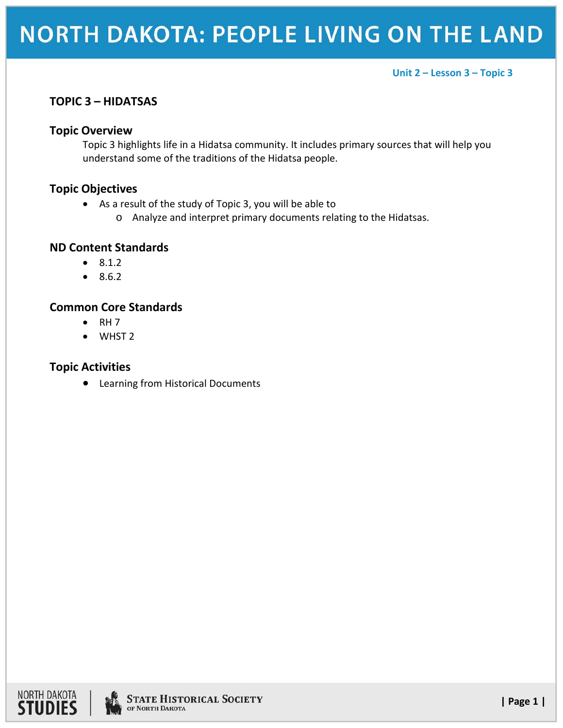## **NORTH DAKOTA: PEOPLE LIVING ON THE LAND**

#### **Unit 2 – Lesson 3 – Topic 3**

## **TOPIC 3 – HIDATSAS**

#### **Topic Overview**

Topic 3 highlights life in a Hidatsa community. It includes primary sources that will help you understand some of the traditions of the Hidatsa people.

## **Topic Objectives**

- As a result of the study of Topic 3, you will be able to
	- o Analyze and interpret primary documents relating to the Hidatsas.

#### **ND Content Standards**

- 8.1.2
- 8.6.2

### **Common Core Standards**

- $\bullet$  RH 7
- WHST 2

### **Topic Activities**

• Learning from Historical Documents